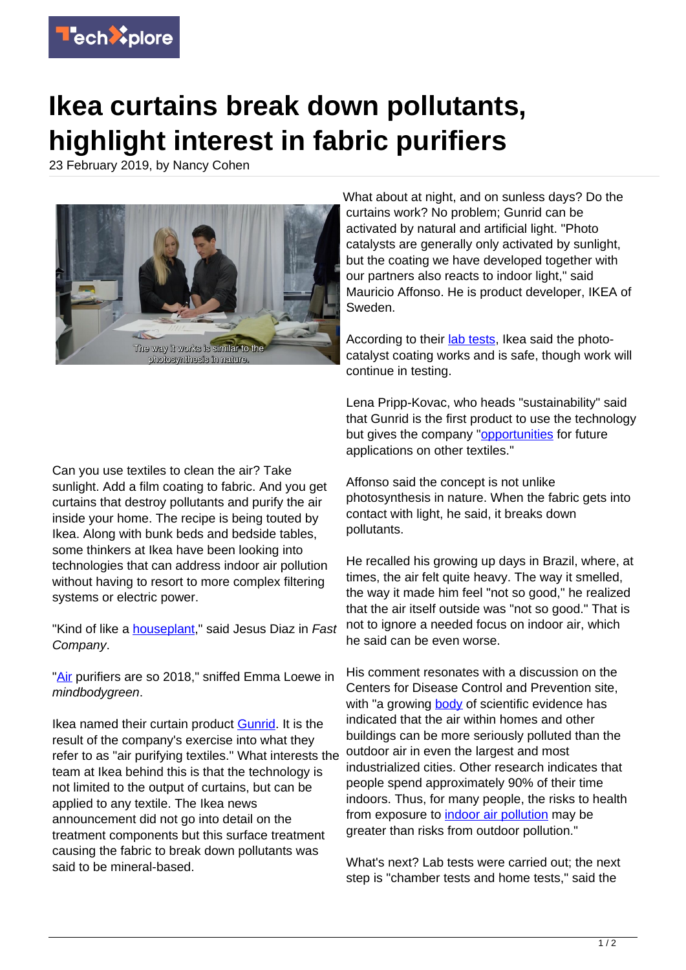

## **Ikea curtains break down pollutants, highlight interest in fabric purifiers**

23 February 2019, by Nancy Cohen



Can you use textiles to clean the air? Take sunlight. Add a film coating to fabric. And you get curtains that destroy pollutants and purify the air inside your home. The recipe is being touted by Ikea. Along with bunk beds and bedside tables, some thinkers at Ikea have been looking into technologies that can address indoor air pollution without having to resort to more complex filtering systems or electric power.

"Kind of like a **houseplant**," said Jesus Diaz in Fast Company.

["Air](https://www.mindbodygreen.com/articles/ikea-gunrid-curtains-filter-the-air) purifiers are so 2018," sniffed Emma Loewe in mindbodygreen.

Ikea named their curtain product [Gunrid](https://vimeo.com/318156967). It is the result of the company's exercise into what they refer to as "air purifying textiles." What interests the team at Ikea behind this is that the technology is not limited to the output of curtains, but can be applied to any textile. The Ikea news announcement did not go into detail on the treatment components but this surface treatment causing the fabric to break down pollutants was said to be mineral-based.

What about at night, and on sunless days? Do the curtains work? No problem; Gunrid can be activated by natural and artificial light. "Photo catalysts are generally only activated by sunlight, but the coating we have developed together with our partners also reacts to indoor light," said Mauricio Affonso. He is product developer, IKEA of Sweden.

According to their [lab tests](https://techxplore.com/tags/lab+tests/), Ikea said the photocatalyst coating works and is safe, though work will continue in testing.

Lena Pripp-Kovac, who heads "sustainability" said that Gunrid is the first product to use the technology but gives the company ["opportunities](https://www.ikea.com/us/en/about_ikea/newsitem/021919-IKEA-GUNRID-curtain) for future applications on other textiles."

Affonso said the concept is not unlike photosynthesis in nature. When the fabric gets into contact with light, he said, it breaks down pollutants.

He recalled his growing up days in Brazil, where, at times, the air felt quite heavy. The way it smelled, the way it made him feel "not so good," he realized that the air itself outside was "not so good." That is not to ignore a needed focus on indoor air, which he said can be even worse.

His comment resonates with a discussion on the Centers for Disease Control and Prevention site, with "a growing [body](https://www.cdc.gov/nceh/publications/books/housing/cha05.htm) of scientific evidence has indicated that the air within homes and other buildings can be more seriously polluted than the outdoor air in even the largest and most industrialized cities. Other research indicates that people spend approximately 90% of their time indoors. Thus, for many people, the risks to health from exposure to [indoor air pollution](https://techxplore.com/tags/indoor+air+pollution/) may be greater than risks from outdoor pollution."

What's next? Lab tests were carried out; the next step is "chamber tests and home tests," said the